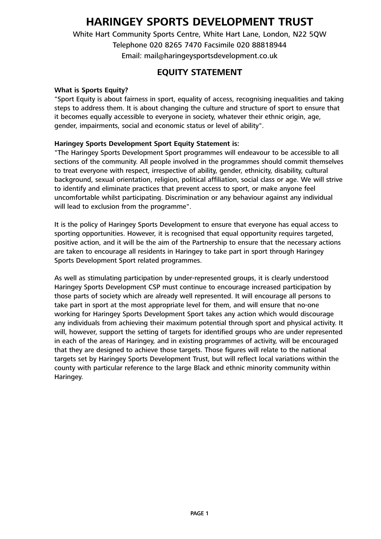# **HARINGEY SPORTS DEVELOPMENT TRUST**

White Hart Community Sports Centre, White Hart Lane, London, N22 5QW Telephone 020 8265 7470 Facsimile 020 88818944 Email: mail@haringeysportsdevelopment.co.uk

## **EQUITY STATEMENT**

#### **What is Sports Equity?**

"Sport Equity is about fairness in sport, equality of access, recognising inequalities and taking steps to address them. It is about changing the culture and structure of sport to ensure that it becomes equally accessible to everyone in society, whatever their ethnic origin, age, gender, impairments, social and economic status or level of ability".

### **Haringey Sports Development Sport Equity Statement is:**

"The Haringey Sports Development Sport programmes will endeavour to be accessible to all sections of the community. All people involved in the programmes should commit themselves to treat everyone with respect, irrespective of ability, gender, ethnicity, disability, cultural background, sexual orientation, religion, political affiliation, social class or age. We will strive to identify and eliminate practices that prevent access to sport, or make anyone feel uncomfortable whilst participating. Discrimination or any behaviour against any individual will lead to exclusion from the programme".

It is the policy of Haringey Sports Development to ensure that everyone has equal access to sporting opportunities. However, it is recognised that equal opportunity requires targeted, positive action, and it will be the aim of the Partnership to ensure that the necessary actions are taken to encourage all residents in Haringey to take part in sport through Haringey Sports Development Sport related programmes.

As well as stimulating participation by under-represented groups, it is clearly understood Haringey Sports Development CSP must continue to encourage increased participation by those parts of society which are already well represented. It will encourage all persons to take part in sport at the most appropriate level for them, and will ensure that no-one working for Haringey Sports Development Sport takes any action which would discourage any individuals from achieving their maximum potential through sport and physical activity. It will, however, support the setting of targets for identified groups who are under represented in each of the areas of Haringey, and in existing programmes of activity, will be encouraged that they are designed to achieve those targets. Those figures will relate to the national targets set by Haringey Sports Development Trust, but will reflect local variations within the county with particular reference to the large Black and ethnic minority community within Haringey.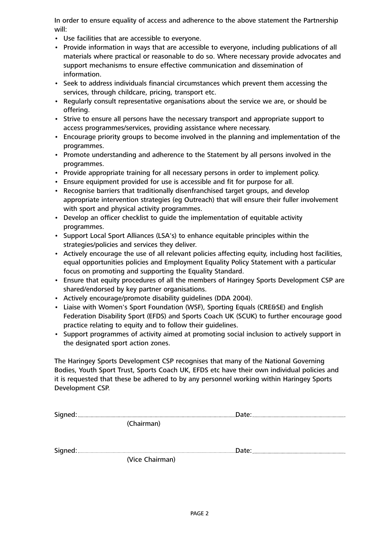In order to ensure equality of access and adherence to the above statement the Partnership will:

- Use facilities that are accessible to everyone.
- Provide information in ways that are accessible to everyone, including publications of all materials where practical or reasonable to do so. Where necessary provide advocates and support mechanisms to ensure effective communication and dissemination of information.
- Seek to address individuals financial circumstances which prevent them accessing the services, through childcare, pricing, transport etc.
- Regularly consult representative organisations about the service we are, or should be offering.
- Strive to ensure all persons have the necessary transport and appropriate support to access programmes/services, providing assistance where necessary.
- Encourage priority groups to become involved in the planning and implementation of the programmes.
- Promote understanding and adherence to the Statement by all persons involved in the programmes.
- Provide appropriate training for all necessary persons in order to implement policy.
- Ensure equipment provided for use is accessible and fit for purpose for all.
- Recognise barriers that traditionally disenfranchised target groups, and develop appropriate intervention strategies (eg Outreach) that will ensure their fuller involvement with sport and physical activity programmes.
- Develop an officer checklist to guide the implementation of equitable activity programmes.
- Support Local Sport Alliances (LSA's) to enhance equitable principles within the strategies/policies and services they deliver.
- Actively encourage the use of all relevant policies affecting equity, including host facilities, equal opportunities policies and Employment Equality Policy Statement with a particular focus on promoting and supporting the Equality Standard.
- Ensure that equity procedures of all the members of Haringey Sports Development CSP are shared/endorsed by key partner organisations.
- Actively encourage/promote disability guidelines (DDA 2004).
- Liaise with Women's Sport Foundation (WSF), Sporting Equals (CRE&SE) and English Federation Disability Sport (EFDS) and Sports Coach UK (SCUK) to further encourage good practice relating to equity and to follow their guidelines.
- Support programmes of activity aimed at promoting social inclusion to actively support in the designated sport action zones.

The Haringey Sports Development CSP recognises that many of the National Governing Bodies, Youth Sport Trust, Sports Coach UK, EFDS etc have their own individual policies and it is requested that these be adhered to by any personnel working within Haringey Sports Development CSP.

|  | (Chairman)      |  |
|--|-----------------|--|
|  |                 |  |
|  |                 |  |
|  | (Vice Chairman) |  |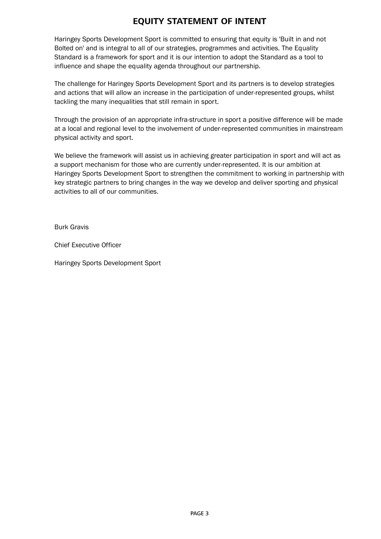# **EQUITY STATEMENT OF INTENT**

Haringey Sports Development Sport is committed to ensuring that equity is 'Built in and not Bolted on' and is integral to all of our strategies, programmes and activities. The Equality Standard is a framework for sport and it is our intention to adopt the Standard as a tool to influence and shape the equality agenda throughout our partnership.

The challenge for Haringey Sports Development Sport and its partners is to develop strategies and actions that will allow an increase in the participation of under-represented groups, whilst tackling the many inequalities that still remain in sport.

Through the provision of an appropriate infra-structure in sport a positive difference will be made at a local and regional level to the involvement of under-represented communities in mainstream physical activity and sport.

We believe the framework will assist us in achieving greater participation in sport and will act as a support mechanism for those who are currently under-represented. It is our ambition at Haringey Sports Development Sport to strengthen the commitment to working in partnership with key strategic partners to bring changes in the way we develop and deliver sporting and physical activities to all of our communities.

Burk Gravis

Chief Executive Officer

Haringey Sports Development Sport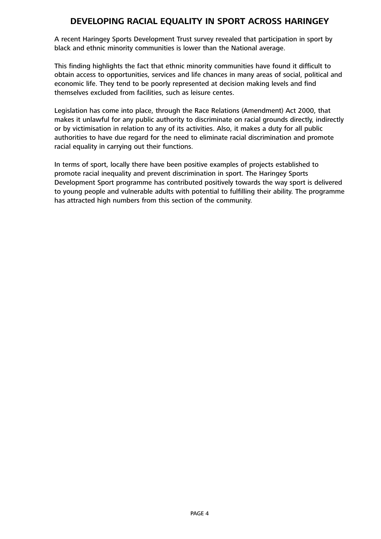# **DEVELOPING RACIAL EQUALITY IN SPORT ACROSS HARINGEY**

A recent Haringey Sports Development Trust survey revealed that participation in sport by black and ethnic minority communities is lower than the National average.

This finding highlights the fact that ethnic minority communities have found it difficult to obtain access to opportunities, services and life chances in many areas of social, political and economic life. They tend to be poorly represented at decision making levels and find themselves excluded from facilities, such as leisure centes.

Legislation has come into place, through the Race Relations (Amendment) Act 2000, that makes it unlawful for any public authority to discriminate on racial grounds directly, indirectly or by victimisation in relation to any of its activities. Also, it makes a duty for all public authorities to have due regard for the need to eliminate racial discrimination and promote racial equality in carrying out their functions.

In terms of sport, locally there have been positive examples of projects established to promote racial inequality and prevent discrimination in sport. The Haringey Sports Development Sport programme has contributed positively towards the way sport is delivered to young people and vulnerable adults with potential to fulfilling their ability. The programme has attracted high numbers from this section of the community.